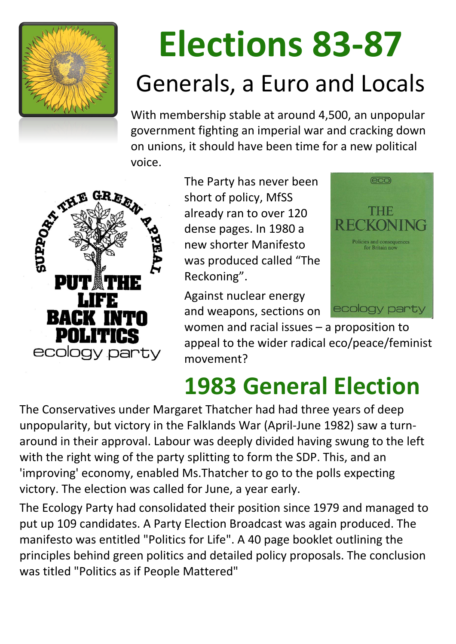

# **Elections 83-87** Generals, a Euro and Locals

With membership stable at around 4,500, an unpopular government fighting an imperial war and cracking down on unions, it should have been time for a new political voice.



The Party has never been short of policy, MfSS already ran to over 120 dense pages. In 1980 a new shorter Manifesto was produced called "The Reckoning".

Against nuclear energy and weapons, sections on



women and racial issues – a proposition to appeal to the wider radical eco/peace/feminist movement?

### **1983 General Election**

The Conservatives under Margaret Thatcher had had three years of deep unpopularity, but victory in the Falklands War (April-June 1982) saw a turnaround in their approval. Labour was deeply divided having swung to the left with the right wing of the party splitting to form the SDP. This, and an 'improving' economy, enabled Ms.Thatcher to go to the polls expecting victory. The election was called for June, a year early.

The Ecology Party had consolidated their position since 1979 and managed to put up 109 candidates. A Party Election Broadcast was again produced. The manifesto was entitled "Politics for Life". A 40 page booklet outlining the principles behind green politics and detailed policy proposals. The conclusion was titled "Politics as if People Mattered"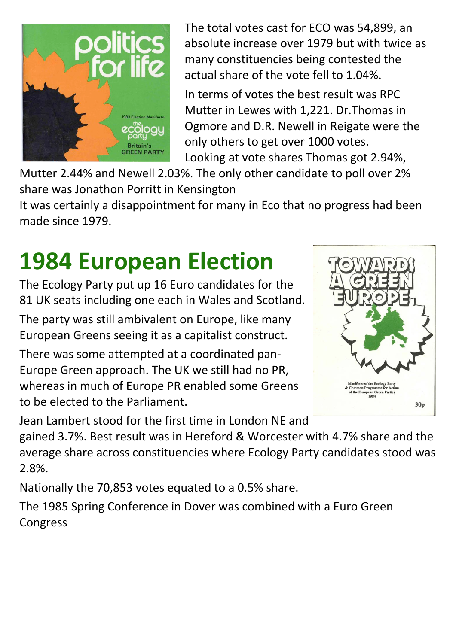

The total votes cast for ECO was 54,899, an absolute increase over 1979 but with twice as many constituencies being contested the actual share of the vote fell to 1.04%.

In terms of votes the best result was RPC Mutter in Lewes with 1,221. Dr.Thomas in Ogmore and D.R. Newell in Reigate were the only others to get over 1000 votes. Looking at vote shares Thomas got 2.94%,

Mutter 2.44% and Newell 2.03%. The only other candidate to poll over 2% share was Jonathon Porritt in Kensington

It was certainly a disappointment for many in Eco that no progress had been made since 1979.

### **1984 European Election**

The Ecology Party put up 16 Euro candidates for the 81 UK seats including one each in Wales and Scotland.

The party was still ambivalent on Europe, like many European Greens seeing it as a capitalist construct.

There was some attempted at a coordinated pan-Europe Green approach. The UK we still had no PR, whereas in much of Europe PR enabled some Greens to be elected to the Parliament.



Jean Lambert stood for the first time in London NE and gained 3.7%. Best result was in Hereford & Worcester with 4.7% share and the average share across constituencies where Ecology Party candidates stood was 2.8%.

Nationally the 70,853 votes equated to a 0.5% share.

The 1985 Spring Conference in Dover was combined with a Euro Green Congress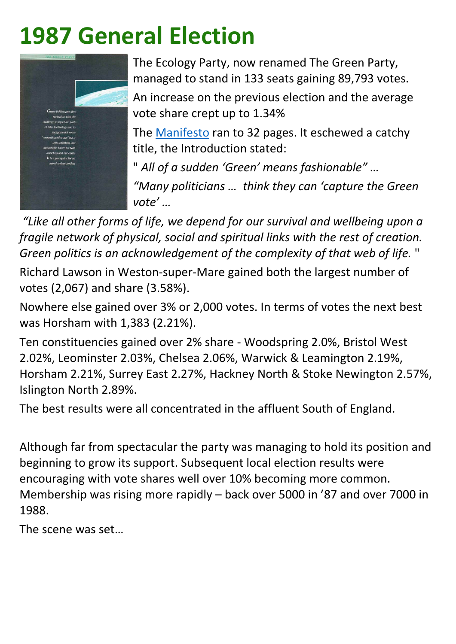### **1987 General Election**



The Ecology Party, now renamed The Green Party, managed to stand in 133 seats gaining 89,793 votes.

The [Manifesto](https://www.green-history.uk/library/doc-archive/cat-index/file/193-green-party-general-election-manifesto-1987) ran to 32 pages. It eschewed a catchy title, the Introduction stated:

An increase on the previous election and the average vote share crept up to 1.34%

" *All of a sudden 'Green' means fashionable" …*

*"Many politicians … think they can 'capture the Green vote' …* 

*"Like all other forms of life, we depend for our survival and wellbeing upon a fragile network of physical, social and spiritual links with the rest of creation. Green politics is an acknowledgement of the complexity of that web of life.* "

Richard Lawson in Weston-super-Mare gained both the largest number of votes (2,067) and share (3.58%).

Nowhere else gained over 3% or 2,000 votes. In terms of votes the next best was Horsham with 1,383 (2.21%).

Ten constituencies gained over 2% share - Woodspring 2.0%, Bristol West 2.02%, Leominster 2.03%, Chelsea 2.06%, Warwick & Leamington 2.19%, Horsham 2.21%, Surrey East 2.27%, Hackney North & Stoke Newington 2.57%, Islington North 2.89%.

The best results were all concentrated in the affluent South of England.

Although far from spectacular the party was managing to hold its position and beginning to grow its support. Subsequent local election results were encouraging with vote shares well over 10% becoming more common.

Membership was rising more rapidly – back over 5000 in '87 and over 7000 in 1988.

The scene was set…